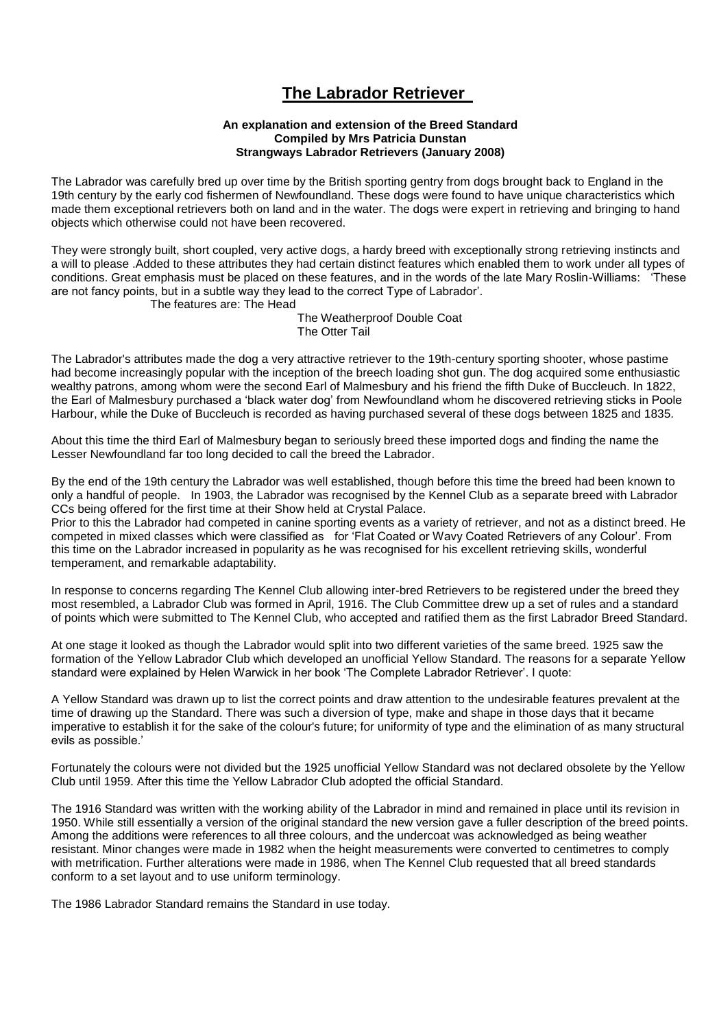## **The Labrador Retriever**

#### **An explanation and extension of the Breed Standard Compiled by Mrs Patricia Dunstan Strangways Labrador Retrievers (January 2008)**

The Labrador was carefully bred up over time by the British sporting gentry from dogs brought back to England in the 19th century by the early cod fishermen of Newfoundland. These dogs were found to have unique characteristics which made them exceptional retrievers both on land and in the water. The dogs were expert in retrieving and bringing to hand objects which otherwise could not have been recovered.

They were strongly built, short coupled, very active dogs, a hardy breed with exceptionally strong retrieving instincts and a will to please .Added to these attributes they had certain distinct features which enabled them to work under all types of conditions. Great emphasis must be placed on these features, and in the words of the late Mary Roslin-Williams: "These are not fancy points, but in a subtle way they lead to the correct Type of Labrador".

The features are: The Head

 The Weatherproof Double Coat The Otter Tail

The Labrador's attributes made the dog a very attractive retriever to the 19th-century sporting shooter, whose pastime had become increasingly popular with the inception of the breech loading shot gun. The dog acquired some enthusiastic wealthy patrons, among whom were the second Earl of Malmesbury and his friend the fifth Duke of Buccleuch. In 1822, the Earl of Malmesbury purchased a "black water dog" from Newfoundland whom he discovered retrieving sticks in Poole Harbour, while the Duke of Buccleuch is recorded as having purchased several of these dogs between 1825 and 1835.

About this time the third Earl of Malmesbury began to seriously breed these imported dogs and finding the name the Lesser Newfoundland far too long decided to call the breed the Labrador.

By the end of the 19th century the Labrador was well established, though before this time the breed had been known to only a handful of people. In 1903, the Labrador was recognised by the Kennel Club as a separate breed with Labrador CCs being offered for the first time at their Show held at Crystal Palace.

Prior to this the Labrador had competed in canine sporting events as a variety of retriever, and not as a distinct breed. He competed in mixed classes which were classified as for "Flat Coated or Wavy Coated Retrievers of any Colour". From this time on the Labrador increased in popularity as he was recognised for his excellent retrieving skills, wonderful temperament, and remarkable adaptability.

In response to concerns regarding The Kennel Club allowing inter-bred Retrievers to be registered under the breed they most resembled, a Labrador Club was formed in April, 1916. The Club Committee drew up a set of rules and a standard of points which were submitted to The Kennel Club, who accepted and ratified them as the first Labrador Breed Standard.

At one stage it looked as though the Labrador would split into two different varieties of the same breed. 1925 saw the formation of the Yellow Labrador Club which developed an unofficial Yellow Standard. The reasons for a separate Yellow standard were explained by Helen Warwick in her book "The Complete Labrador Retriever". I quote:

A Yellow Standard was drawn up to list the correct points and draw attention to the undesirable features prevalent at the time of drawing up the Standard. There was such a diversion of type, make and shape in those days that it became imperative to establish it for the sake of the colour's future; for uniformity of type and the elimination of as many structural evils as possible."

Fortunately the colours were not divided but the 1925 unofficial Yellow Standard was not declared obsolete by the Yellow Club until 1959. After this time the Yellow Labrador Club adopted the official Standard.

The 1916 Standard was written with the working ability of the Labrador in mind and remained in place until its revision in 1950. While still essentially a version of the original standard the new version gave a fuller description of the breed points. Among the additions were references to all three colours, and the undercoat was acknowledged as being weather resistant. Minor changes were made in 1982 when the height measurements were converted to centimetres to comply with metrification. Further alterations were made in 1986, when The Kennel Club requested that all breed standards conform to a set layout and to use uniform terminology.

The 1986 Labrador Standard remains the Standard in use today.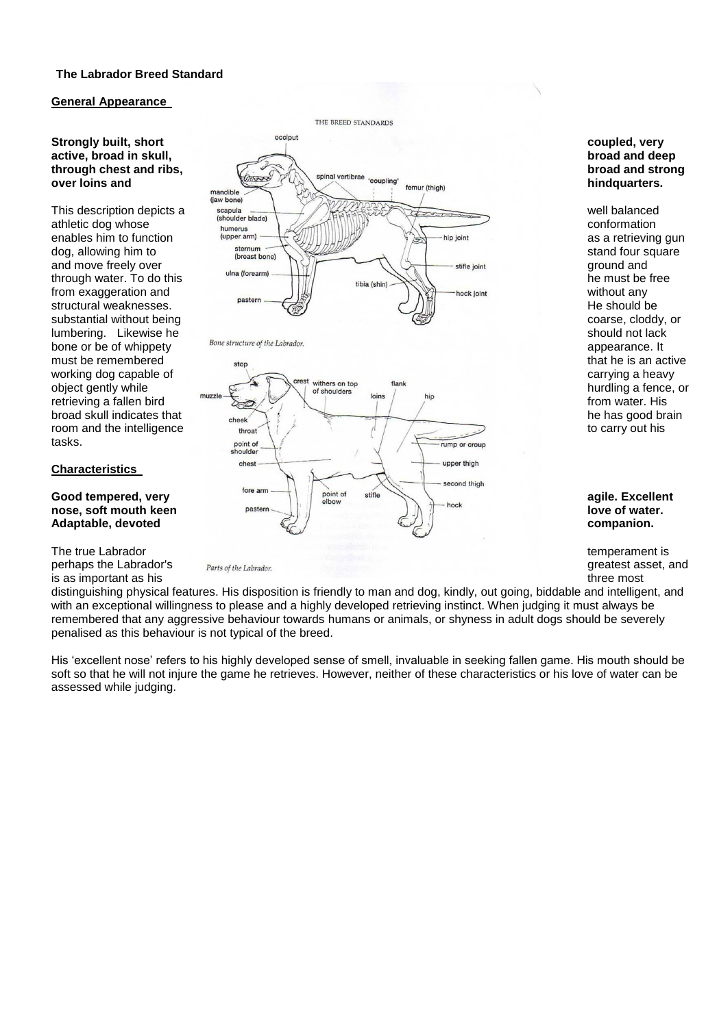### **The Labrador Breed Standard**

#### **General Appearance**

bone or be of whippety bone structure of the Labrador. tasks.

#### **Characteristics**

perhaps the Labrador's *Parts of the Labrador.* **Conserverse and properties asset, and propertiest asset, and greatest asset, and greatest asset, and greatest asset, and greatest asset, and greatest asset, and greatest a** is as important as his three most in the most of the most of the most of the most of the most of the most of the most of the most of the most of the most of the most of the most of the most of the most of the most of the m





distinguishing physical features. His disposition is friendly to man and dog, kindly, out going, biddable and intelligent, and with an exceptional willingness to please and a highly developed retrieving instinct. When judging it must always be remembered that any aggressive behaviour towards humans or animals, or shyness in adult dogs should be severely penalised as this behaviour is not typical of the breed.

His "excellent nose" refers to his highly developed sense of smell, invaluable in seeking fallen game. His mouth should be soft so that he will not injure the game he retrieves. However, neither of these characteristics or his love of water can be assessed while judging.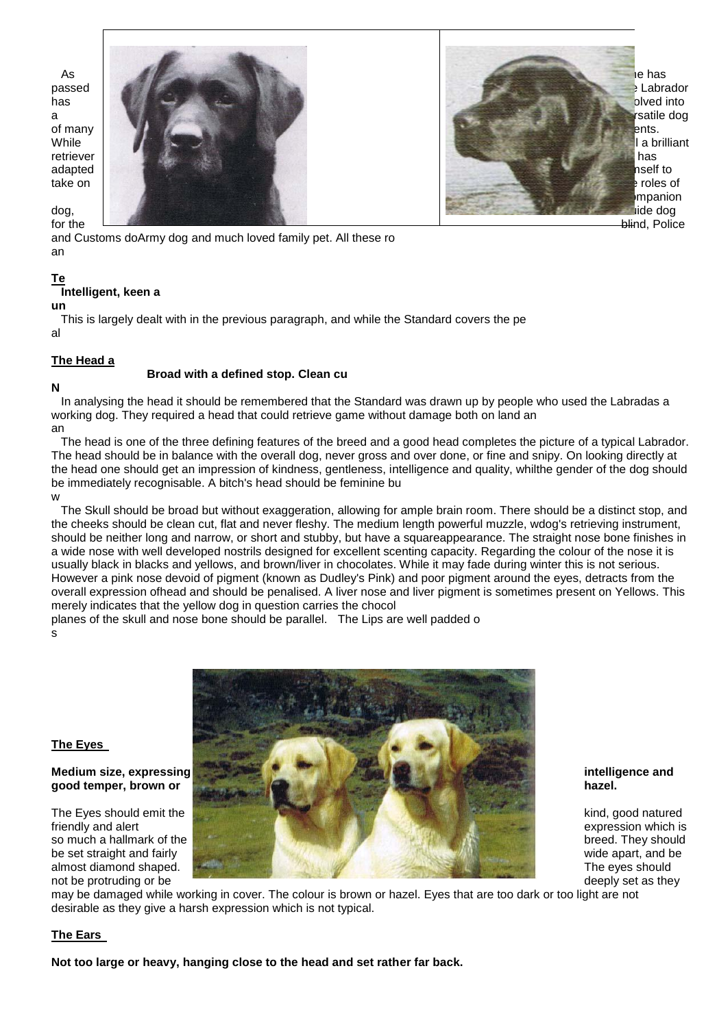

mpanion

and Customs doArmy dog and much loved family pet. All these ro an

 **Broad with a defined stop. Clean cu**

### **Te**

### **Intelligent, keen a**

**un**

 This is largely dealt with in the previous paragraph, and while the Standard covers the pe al

### **The Head a**

### **N**

 In analysing the head it should be remembered that the Standard was drawn up by people who used the Labradas a working dog. They required a head that could retrieve game without damage both on land an an

 The head is one of the three defining features of the breed and a good head completes the picture of a typical Labrador. The head should be in balance with the overall dog, never gross and over done, or fine and snipy. On looking directly at the head one should get an impression of kindness, gentleness, intelligence and quality, whilthe gender of the dog should be immediately recognisable. A bitch's head should be feminine bu w

 The Skull should be broad but without exaggeration, allowing for ample brain room. There should be a distinct stop, and the cheeks should be clean cut, flat and never fleshy. The medium length powerful muzzle, wdog's retrieving instrument, should be neither long and narrow, or short and stubby, but have a squareappearance. The straight nose bone finishes in a wide nose with well developed nostrils designed for excellent scenting capacity. Regarding the colour of the nose it is usually black in blacks and yellows, and brown/liver in chocolates. While it may fade during winter this is not serious. However a pink nose devoid of pigment (known as Dudley's Pink) and poor pigment around the eyes, detracts from the overall expression ofhead and should be penalised. A liver nose and liver pigment is sometimes present on Yellows. This merely indicates that the yellow dog in question carries the chocol

planes of the skull and nose bone should be parallel. The Lips are well padded o s



### **The Eyes**

may be damaged while working in cover. The colour is brown or hazel. Eyes that are too dark or too light are not desirable as they give a harsh expression which is not typical.

### **The Ears**

**Not too large or heavy, hanging close to the head and set rather far back.**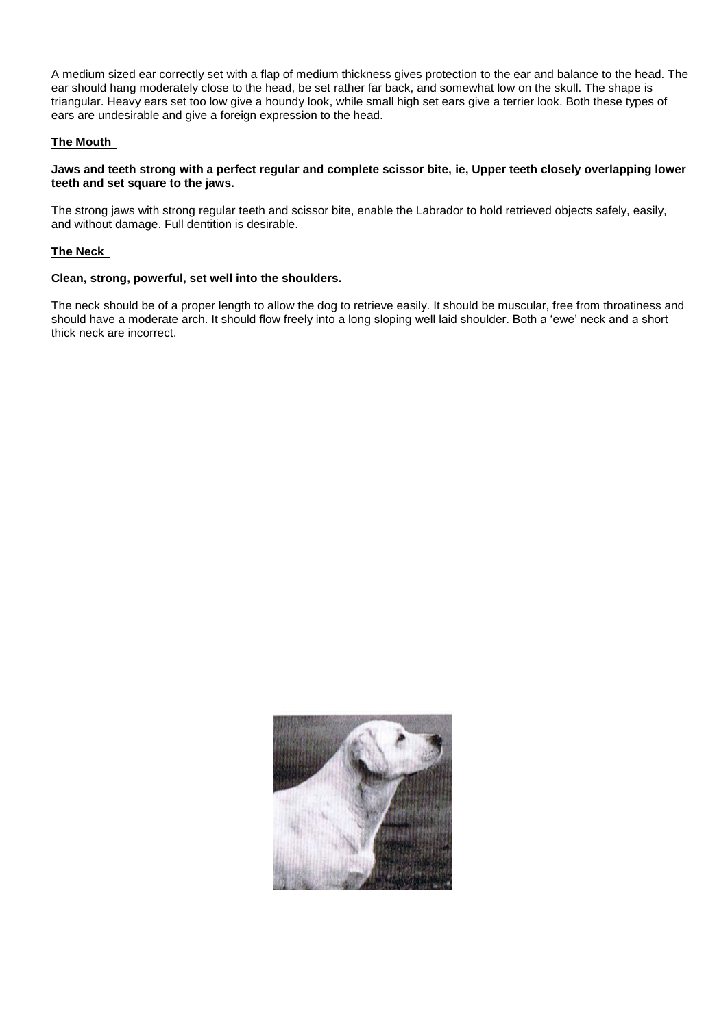A medium sized ear correctly set with a flap of medium thickness gives protection to the ear and balance to the head. The ear should hang moderately close to the head, be set rather far back, and somewhat low on the skull. The shape is triangular. Heavy ears set too low give a houndy look, while small high set ears give a terrier look. Both these types of ears are undesirable and give a foreign expression to the head.

#### **The Mouth**

#### **Jaws and teeth strong with a perfect regular and complete scissor bite, ie, Upper teeth closely overlapping lower teeth and set square to the jaws.**

The strong jaws with strong regular teeth and scissor bite, enable the Labrador to hold retrieved objects safely, easily, and without damage. Full dentition is desirable.

#### **The Neck**

#### **Clean, strong, powerful, set well into the shoulders.**

The neck should be of a proper length to allow the dog to retrieve easily. It should be muscular, free from throatiness and should have a moderate arch. It should flow freely into a long sloping well laid shoulder. Both a 'ewe' neck and a short thick neck are incorrect.

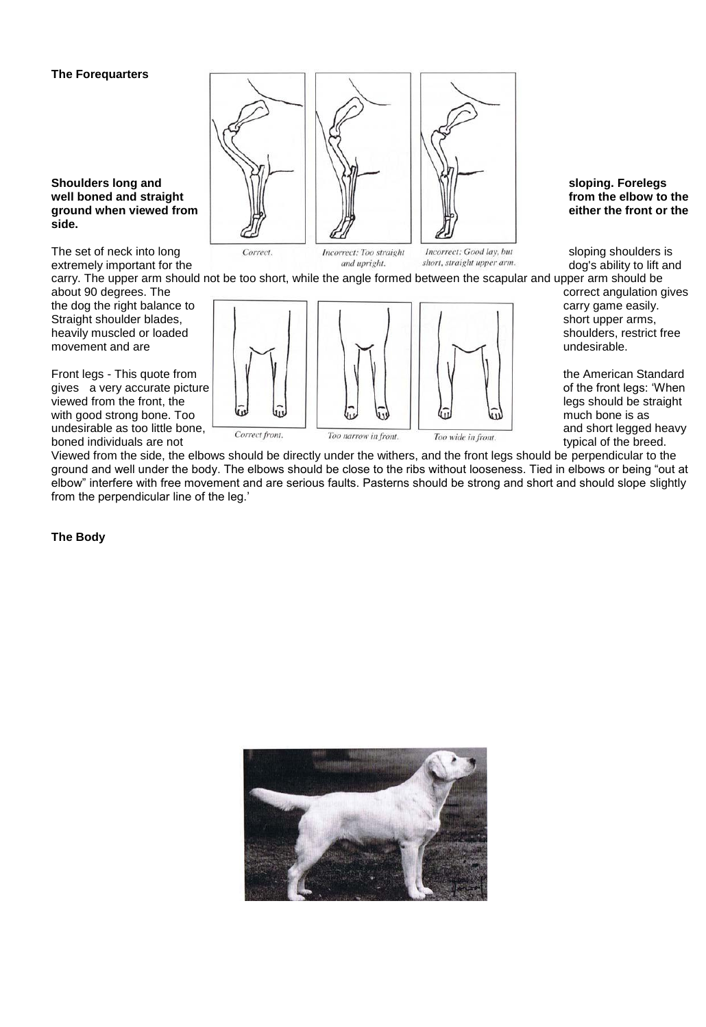#### **The Forequarters**

well boned and straight **side.**

The set of neck into long *Correct. Correct. Incorrect: Too straight Incorrect: Good lay, but* sloping shoulders is extremely important for the and upright. *Incorrect: Good lay, but* sloping shoulders is *and uprigh* extremely important for the

movement and are

gives a very accurate picture boned individuals are not typical of the breed.



carry. The upper arm should not be too short, while the angle formed between the scapular and upper arm should be about 90 degrees. The correct angulation gives



Viewed from the side, the elbows should be directly under the withers, and the front legs should be perpendicular to the ground and well under the body. The elbows should be close to the ribs without looseness. Tied in elbows or being "out at elbow" interfere with free movement and are serious faults. Pasterns should be strong and short and should slope slightly from the perpendicular line of the leg.'

**The Body** 

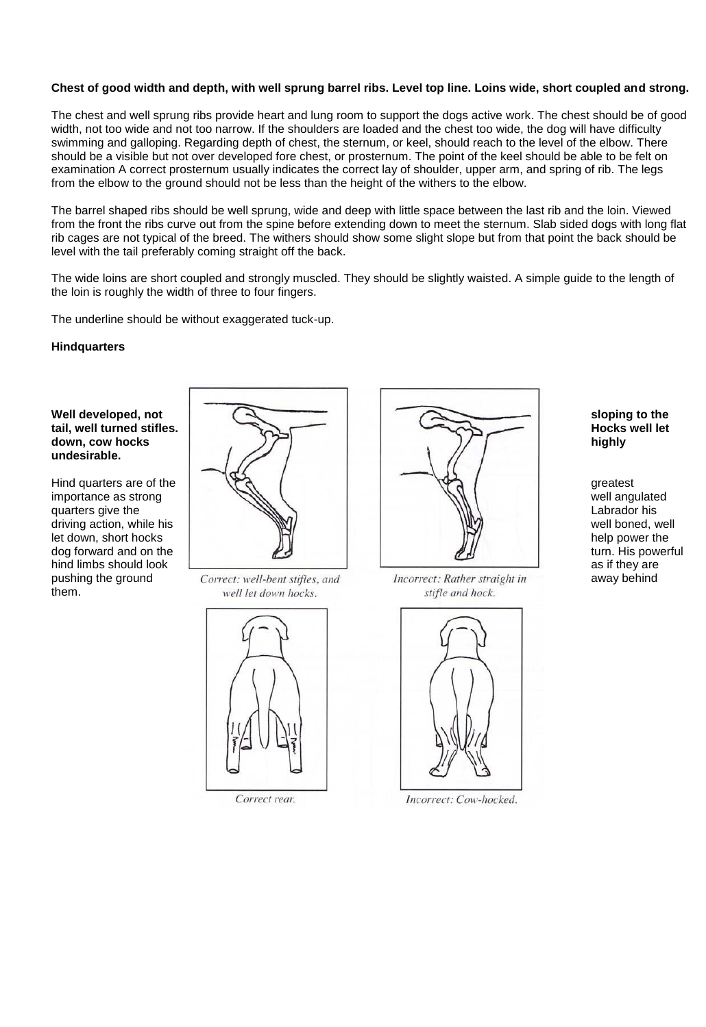### **Chest of good width and depth, with well sprung barrel ribs. Level top line. Loins wide, short coupled and strong.**

The chest and well sprung ribs provide heart and lung room to support the dogs active work. The chest should be of good width, not too wide and not too narrow. If the shoulders are loaded and the chest too wide, the dog will have difficulty swimming and galloping. Regarding depth of chest, the sternum, or keel, should reach to the level of the elbow. There should be a visible but not over developed fore chest, or prosternum. The point of the keel should be able to be felt on examination A correct prosternum usually indicates the correct lay of shoulder, upper arm, and spring of rib. The legs from the elbow to the ground should not be less than the height of the withers to the elbow.

The barrel shaped ribs should be well sprung, wide and deep with little space between the last rib and the loin. Viewed from the front the ribs curve out from the spine before extending down to meet the sternum. Slab sided dogs with long flat rib cages are not typical of the breed. The withers should show some slight slope but from that point the back should be level with the tail preferably coming straight off the back.

The wide loins are short coupled and strongly muscled. They should be slightly waisted. A simple guide to the length of the loin is roughly the width of three to four fingers.

The underline should be without exaggerated tuck-up.

#### **Hindquarters**

# tail, well turned stifles. **undesirable.**

them.



pushing the ground correct: well-bent stifles, and lncorrect: Rather straight in away behind well let down hocks.



Correct rear.



stifle and hock.



Incorrect: Cow-hocked.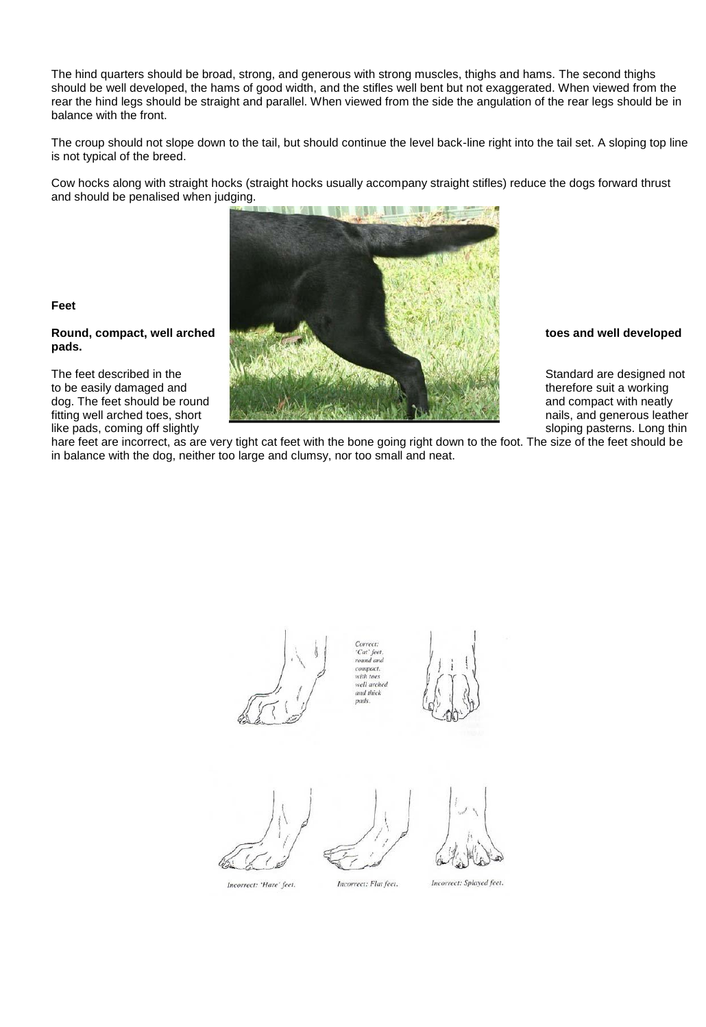The hind quarters should be broad, strong, and generous with strong muscles, thighs and hams. The second thighs should be well developed, the hams of good width, and the stifles well bent but not exaggerated. When viewed from the rear the hind legs should be straight and parallel. When viewed from the side the angulation of the rear legs should be in balance with the front.

The croup should not slope down to the tail, but should continue the level back-line right into the tail set. A sloping top line is not typical of the breed.

Cow hocks along with straight hocks (straight hocks usually accompany straight stifles) reduce the dogs forward thrust and should be penalised when judging.



hare feet are incorrect, as are very tight cat feet with the bone going right down to the foot. The size of the feet should be in balance with the dog, neither too large and clumsy, nor too small and neat.

'Cat' feet round and compact, with toes with loes<br>well arched<br>and thick pads.



Incorrect: 'Hare' feet.



Incorrect: Flat feet.

Incorrect: Splayed feet.

**Feet**

**pads.**

like pads, coming off slightly sloping pasterns. Long thin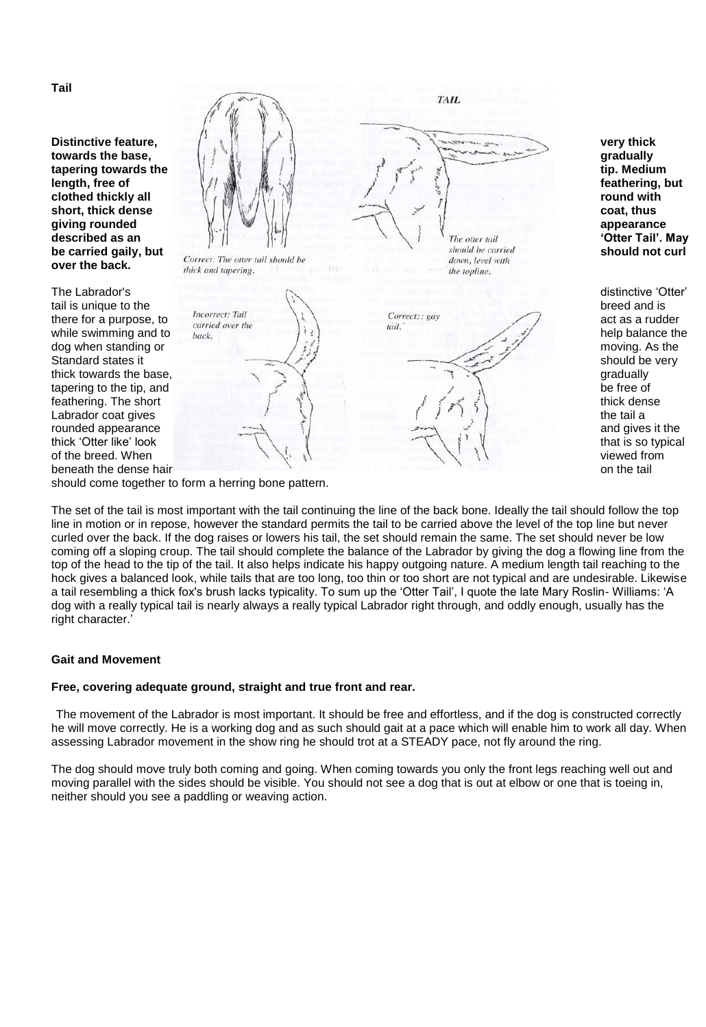**Tail**

**over the back.**

tapering to the tip, and rounded appearance



should come together to form a herring bone pattern.

The set of the tail is most important with the tail continuing the line of the back bone. Ideally the tail should follow the top line in motion or in repose, however the standard permits the tail to be carried above the level of the top line but never curled over the back. If the dog raises or lowers his tail, the set should remain the same. The set should never be low coming off a sloping croup. The tail should complete the balance of the Labrador by giving the dog a flowing line from the top of the head to the tip of the tail. It also helps indicate his happy outgoing nature. A medium length tail reaching to the hock gives a balanced look, while tails that are too long, too thin or too short are not typical and are undesirable. Likewise a tail resembling a thick fox's brush lacks typicality. To sum up the "Otter Tail", I quote the late Mary Roslin- Williams: "A dog with a really typical tail is nearly always a really typical Labrador right through, and oddly enough, usually has the right character."

#### **Gait and Movement**

#### **Free, covering adequate ground, straight and true front and rear.**

The movement of the Labrador is most important. It should be free and effortless, and if the dog is constructed correctly he will move correctly. He is a working dog and as such should gait at a pace which will enable him to work all day. When assessing Labrador movement in the show ring he should trot at a STEADY pace, not fly around the ring.

The dog should move truly both coming and going. When coming towards you only the front legs reaching well out and moving parallel with the sides should be visible. You should not see a dog that is out at elbow or one that is toeing in, neither should you see a paddling or weaving action.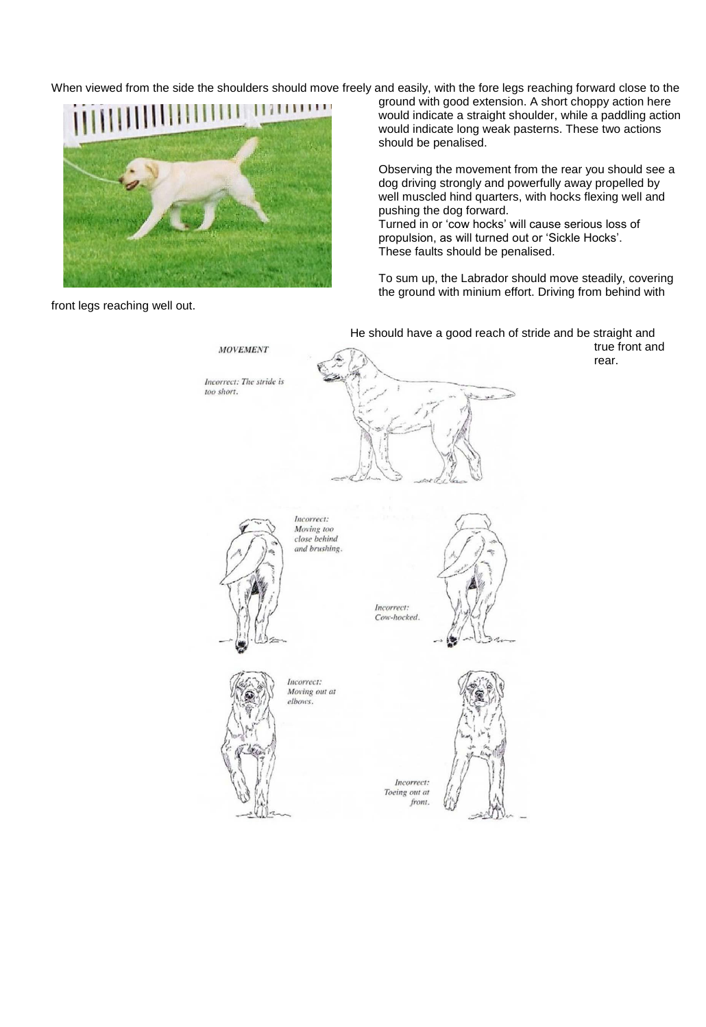When viewed from the side the shoulders should move freely and easily, with the fore legs reaching forward close to the



front legs reaching well out.

ground with good extension. A short choppy action here would indicate a straight shoulder, while a paddling action would indicate long weak pasterns. These two actions should be penalised.

Observing the movement from the rear you should see a dog driving strongly and powerfully away propelled by well muscled hind quarters, with hocks flexing well and pushing the dog forward. Turned in or "cow hocks" will cause serious loss of propulsion, as will turned out or "Sickle Hocks". These faults should be penalised.

To sum up, the Labrador should move steadily, covering the ground with minium effort. Driving from behind with

He should have a good reach of stride and be straight and **MOVEMENT** Incorrect: The stride is too short. Incorrect: Moving too<br>close behind and brushing. Incorrect: Cow-hocked. Incorrect: Moving out at elbows. Incorrect: Toeing out at front.

true front and rear.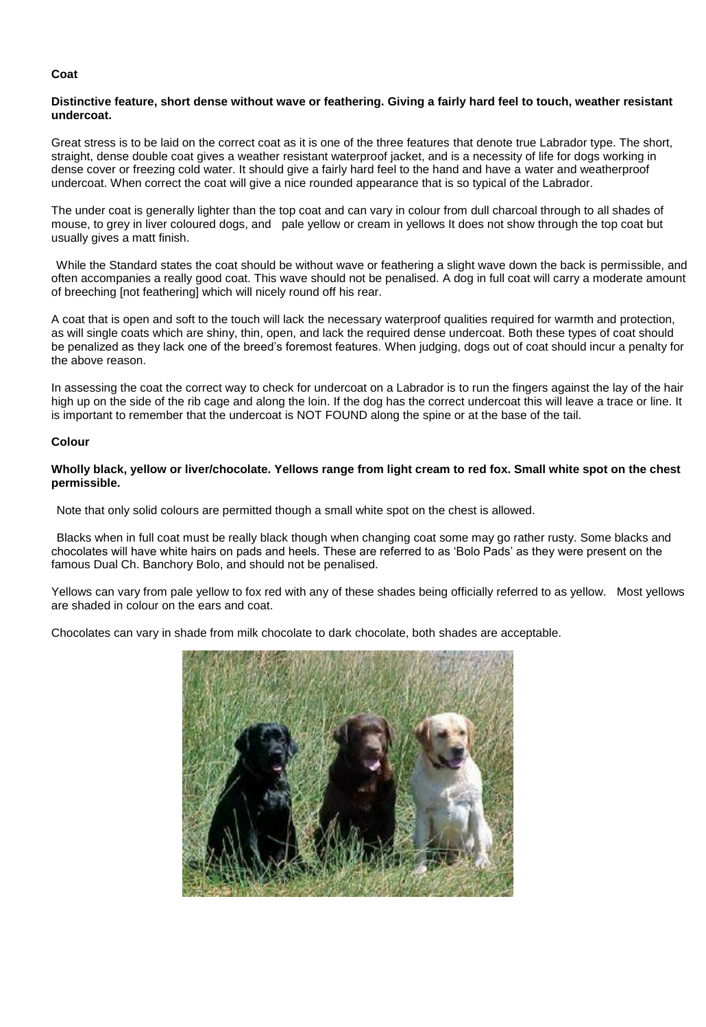#### **Coat**

#### **Distinctive feature, short dense without wave or feathering. Giving a fairly hard feel to touch, weather resistant undercoat.**

Great stress is to be laid on the correct coat as it is one of the three features that denote true Labrador type. The short, straight, dense double coat gives a weather resistant waterproof jacket, and is a necessity of life for dogs working in dense cover or freezing cold water. It should give a fairly hard feel to the hand and have a water and weatherproof undercoat. When correct the coat will give a nice rounded appearance that is so typical of the Labrador.

The under coat is generally lighter than the top coat and can vary in colour from dull charcoal through to all shades of mouse, to grey in liver coloured dogs, and pale yellow or cream in yellows It does not show through the top coat but usually gives a matt finish.

While the Standard states the coat should be without wave or feathering a slight wave down the back is permissible, and often accompanies a really good coat. This wave should not be penalised. A dog in full coat will carry a moderate amount of breeching [not feathering] which will nicely round off his rear.

A coat that is open and soft to the touch will lack the necessary waterproof qualities required for warmth and protection, as will single coats which are shiny, thin, open, and lack the required dense undercoat. Both these types of coat should be penalized as they lack one of the breed"s foremost features. When judging, dogs out of coat should incur a penalty for the above reason.

In assessing the coat the correct way to check for undercoat on a Labrador is to run the fingers against the lay of the hair high up on the side of the rib cage and along the loin. If the dog has the correct undercoat this will leave a trace or line. It is important to remember that the undercoat is NOT FOUND along the spine or at the base of the tail.

#### **Colour**

#### **Wholly black, yellow or liver/chocolate. Yellows range from light cream to red fox. Small white spot on the chest permissible.**

Note that only solid colours are permitted though a small white spot on the chest is allowed.

Blacks when in full coat must be really black though when changing coat some may go rather rusty. Some blacks and chocolates will have white hairs on pads and heels. These are referred to as "Bolo Pads" as they were present on the famous Dual Ch. Banchory Bolo, and should not be penalised.

Yellows can vary from pale yellow to fox red with any of these shades being officially referred to as yellow. Most yellows are shaded in colour on the ears and coat.

Chocolates can vary in shade from milk chocolate to dark chocolate, both shades are acceptable.